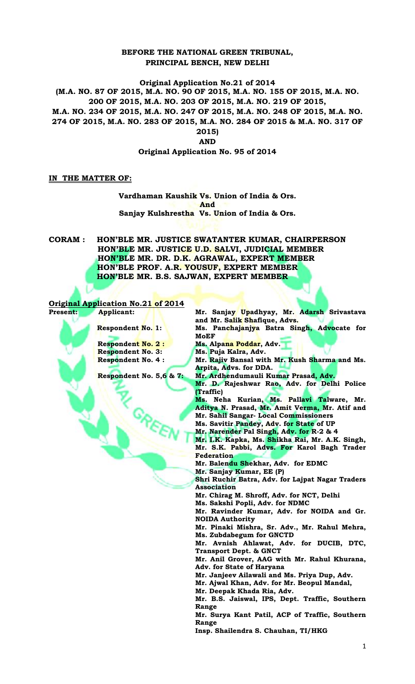## **BEFORE THE NATIONAL GREEN TRIBUNAL, PRINCIPAL BENCH, NEW DELHI**

**Original Application No.21 of 2014 (M.A. NO. 87 OF 2015, M.A. NO. 90 OF 2015, M.A. NO. 155 OF 2015, M.A. NO. 200 OF 2015, M.A. NO. 203 OF 2015, M.A. NO. 219 OF 2015, M.A. NO. 234 OF 2015, M.A. NO. 247 OF 2015, M.A. NO. 248 OF 2015, M.A. NO. 274 OF 2015, M.A. NO. 283 OF 2015, M.A. NO. 284 OF 2015 & M.A. NO. 317 OF 2015) AND** 

**Original Application No. 95 of 2014**

## **IN THE MATTER OF:**

**Vardhaman Kaushik Vs. Union of India & Ors. And Sanjay Kulshrestha Vs. Union of India & Ors.**

**CORAM : HON'BLE MR. JUSTICE SWATANTER KUMAR, CHAIRPERSON HON'BLE MR. JUSTICE U.D. SALVI, JUDICIAL MEMBER HON'BLE MR. DR. D.K. AGRAWAL, EXPERT MEMBER HON'BLE PROF. A.R. YOUSUF, EXPERT MEMBER HON'BLE MR. B.S. SAJWAN, EXPERT MEMBER**

|                 | <b>Original Application No.21 of 2014</b> |                                                                             |
|-----------------|-------------------------------------------|-----------------------------------------------------------------------------|
| <b>Present:</b> | Applicant:                                | Mr. Sanjay Upadhyay, Mr. Adarsh Srivastava<br>and Mr. Salik Shafique, Advs. |
|                 | <b>Respondent No. 1:</b>                  | Ms. Panchajanjya Batra Singh, Advocate for<br>MoEF                          |
|                 | <b>Respondent No. 2:</b>                  | Ms. Alpana Poddar, Adv.                                                     |
|                 | <b>Respondent No. 3:</b>                  | Ms. Puja Kalra, Adv.                                                        |
|                 | <b>Respondent No. 4:</b>                  | Mr. Rajiv Bansal with Mr. Kush Sharma and Ms.<br>Arpita, Advs. for DDA.     |
|                 | Respondent No. 5,6 & 7:                   | Mr. Ardhendumauli Kumar Prasad, Adv.                                        |
|                 |                                           | Mr. D. Rajeshwar Rao, Adv. for Delhi Police                                 |
|                 |                                           | (Traffic)                                                                   |
|                 |                                           | Ms. Neha Kurian, Ms. Pallavi Talware, Mr.                                   |
|                 |                                           | Aditya N. Prasad, Mr. Amit Verma, Mr. Atif and                              |
|                 |                                           | Mr. Sahil Sangar- Local Commissioners                                       |
|                 |                                           | Ms. Savitir Pandey, Adv. for State of UP                                    |
|                 |                                           | Mr. Narender Pal Singh, Adv. for R-2 & 4                                    |
|                 |                                           | Mr. I.K. Kapka, Ms. Shikha Rai, Mr. A.K. Singh,                             |
|                 |                                           | Mr. S.K. Pabbi, Advs. For Karol Bagh Trader                                 |
|                 |                                           | <b>Federation</b>                                                           |
|                 |                                           | Mr. Balendu Shekhar, Adv. for EDMC                                          |
|                 |                                           | Mr. Sanjay Kumar, EE (P)                                                    |
|                 |                                           | Shri Ruchir Batra, Adv. for Lajpat Nagar Traders                            |
|                 |                                           | <b>Association</b>                                                          |
|                 |                                           | Mr. Chirag M. Shroff, Adv. for NCT, Delhi                                   |
|                 |                                           | Ms. Sakshi Popli, Adv. for NDMC                                             |
|                 |                                           | Mr. Ravinder Kumar, Adv. for NOIDA and Gr.<br><b>NOIDA Authority</b>        |
|                 |                                           | Mr. Pinaki Mishra, Sr. Adv., Mr. Rahul Mehra,                               |
|                 |                                           | Ms. Zubdabegum for GNCTD                                                    |
|                 |                                           | Mr. Avnish Ahlawat, Adv. for DUCIB, DTC,                                    |
|                 |                                           | <b>Transport Dept. &amp; GNCT</b>                                           |
|                 |                                           | Mr. Anil Grover, AAG with Mr. Rahul Khurana,                                |
|                 |                                           | Adv. for State of Haryana                                                   |
|                 |                                           | Mr. Janjeev Ailawali and Ms. Priya Dup, Adv.                                |
|                 |                                           | Mr. Ajwal Khan, Adv. for Mr. Beopul Mandal,                                 |
|                 |                                           | Mr. Deepak Khada Ria, Adv.                                                  |
|                 |                                           | Mr. B.S. Jaiswal, IPS, Dept. Traffic, Southern                              |
|                 |                                           | Range                                                                       |
|                 |                                           | Mr. Surya Kant Patil, ACP of Traffic, Southern                              |
|                 |                                           | Range                                                                       |
|                 |                                           | Insp. Shailendra S. Chauhan, TI/HKG                                         |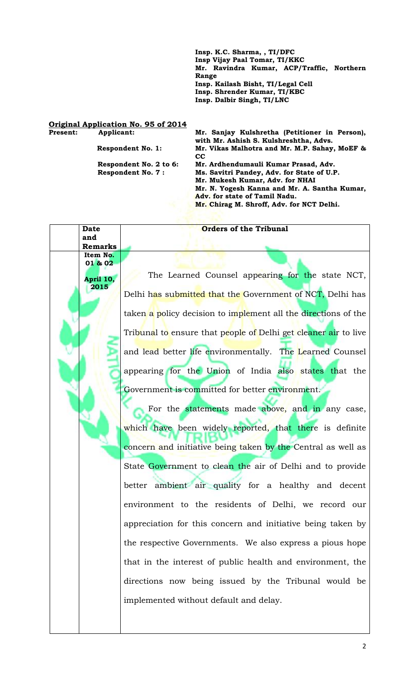**Insp. K.C. Sharma, , TI/DFC Insp Vijay Paal Tomar, TI/KKC Mr. Ravindra Kumar, ACP/Traffic, Northern Range Insp. Kailash Bisht, TI/Legal Cell Insp. Shrender Kumar, TI/KBC Insp. Dalbir Singh, TI/LNC**

## **Original Application No. 95 of 2014**

**Present: Applicant: Mr. Sanjay Kulshretha (Petitioner in Person), with Mr. Ashish S. Kulshreshtha, Advs. Respondent No. 1: Mr. Vikas Malhotra and Mr. M.P. Sahay, MoEF & CC Respondent No. 2 to 6: Mr. Ardhendumauli Kumar Prasad, Adv. Respondent No. 7 : Ms. Savitri Pandey, Adv. for State of U.P. Mr. Mukesh Kumar, Adv. for NHAI Mr. N. Yogesh Kanna and Mr. A. Santha Kumar, Adv. for state of Tamil Nadu. Mr. Chirag M. Shroff, Adv. for NCT Delhi.**

**Date and Remarks Orders of the Tribunal Item No. 01 & 02 April 10, 2015** The Learned Counsel appearing for the state NCT, Delhi has submitted that the Government of NCT, Delhi has taken a policy decision to implement all the directions of the Tribunal to ensure that people of Delhi get cleaner air to live and lead better life environmentally. The Learned Counsel appearing for the Union of India also states that the Government is committed for better environment. For the statements made above, and in any case, which have been widely reported, that there is definite concern and initiative being taken by the Central as well as State Government to clean the air of Delhi and to provide better ambient air quality for a healthy and decent environment to the residents of Delhi, we record our appreciation for this concern and initiative being taken by the respective Governments. We also express a pious hope

that in the interest of public health and environment, the directions now being issued by the Tribunal would be implemented without default and delay.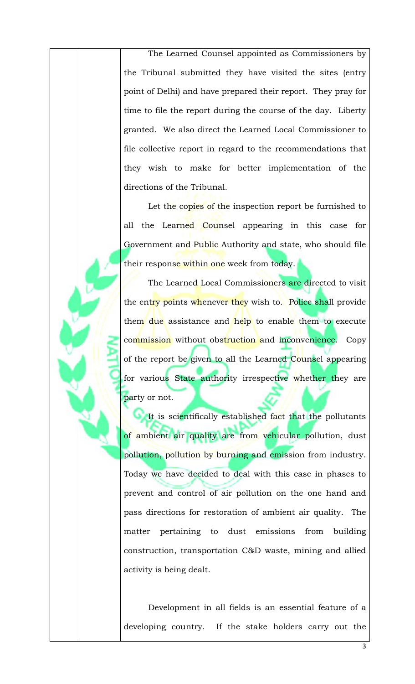The Learned Counsel appointed as Commissioners by the Tribunal submitted they have visited the sites (entry point of Delhi) and have prepared their report. They pray for time to file the report during the course of the day. Liberty granted. We also direct the Learned Local Commissioner to file collective report in regard to the recommendations that they wish to make for better implementation of the directions of the Tribunal.

Let the copies of the inspection report be furnished to all the Learned Counsel appearing in this case for Government and Public Authority and state, who should file their response within one week from today.

The Learned Local Commissioners are directed to visit the entry points whenever they wish to. Police shall provide them due assistance and help to enable them to execute commission without obstruction and inconvenience. Copy of the report be given to all the Learned Counsel appearing for various State authority irrespective whether they are party or not.

It is scientifically established fact that the pollutants of ambient air quality are from vehicular pollution, dust pollution, pollution by burning and emission from industry. Today we have decided to deal with this case in phases to prevent and control of air pollution on the one hand and pass directions for restoration of ambient air quality. The matter pertaining to dust emissions from building construction, transportation C&D waste, mining and allied activity is being dealt.

Development in all fields is an essential feature of a developing country. If the stake holders carry out the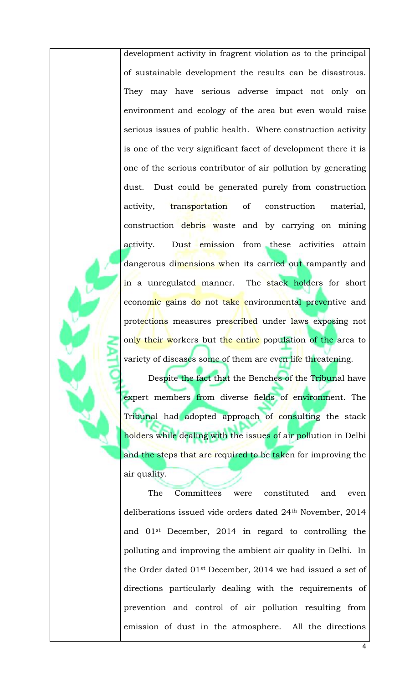development activity in fragrent violation as to the principal of sustainable development the results can be disastrous. They may have serious adverse impact not only on environment and ecology of the area but even would raise serious issues of public health. Where construction activity is one of the very significant facet of development there it is one of the serious contributor of air pollution by generating dust. Dust could be generated purely from construction activity, transportation of construction material, construction debris waste and by carrying on mining activity. Dust emission from these activities attain dangerous dimensions when its carried out rampantly and in a unregulated manner. The stack holders for short economic gains do not take environmental preventive and protections measures prescribed under laws exposing not only their workers but the entire population of the area to variety of diseases some of them are even life threatening.

Despite the fact that the Benches of the Tribunal have expert members from diverse fields of environment. The Tribunal had adopted approach of consulting the stack holders while dealing with the issues of air pollution in Delhi and the steps that are required to be taken for improving the air quality.

The Committees were constituted and even deliberations issued vide orders dated 24th November, 2014 and 01st December, 2014 in regard to controlling the polluting and improving the ambient air quality in Delhi. In the Order dated 01st December, 2014 we had issued a set of directions particularly dealing with the requirements of prevention and control of air pollution resulting from emission of dust in the atmosphere. All the directions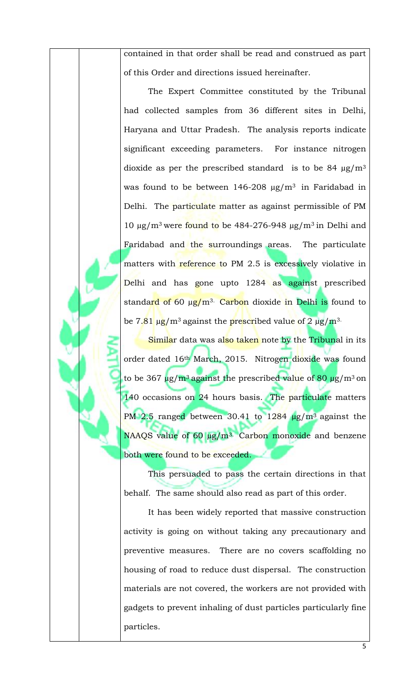contained in that order shall be read and construed as part of this Order and directions issued hereinafter.

The Expert Committee constituted by the Tribunal had collected samples from 36 different sites in Delhi, Haryana and Uttar Pradesh. The analysis reports indicate significant exceeding parameters. For instance nitrogen dioxide as per the prescribed standard is to be 84  $\mu$ g/m<sup>3</sup> was found to be between  $146-208 \mu g/m^3$  in Faridabad in Delhi. The particulate matter as against permissible of PM 10  $\mu$ g/m<sup>3</sup> were found to be 484-276-948  $\mu$ g/m<sup>3</sup> in Delhi and Faridabad and the surroundings areas. The particulate matters with reference to PM 2.5 is excessively violative in Delhi and has gone upto 1284 as against prescribed standard of 60  $\mu$ g/m<sup>3.</sup> Carbon dioxide in Delhi is found to be  $7.81 \mu g/m^3$  against the prescribed value of  $2 \mu g/m^3$ .

Similar data was also taken note by the Tribunal in its order dated 16<sup>th</sup> March, 2015. Nitrogen dioxide was found to be 367  $\mu$ g/m<sup>3</sup> against the prescribed value of 80  $\mu$ g/m<sup>3</sup> on 140 occasions on 24 hours basis. The particulate matters PM 2.5 ranged between 30.41 to  $1284 \text{ µg/m}^3$  against the NAAQS value of 60 µg/m<sup>3.</sup> Carbon monoxide and benzene both were found to be exceeded.

This persuaded to pass the certain directions in that behalf. The same should also read as part of this order.

It has been widely reported that massive construction activity is going on without taking any precautionary and preventive measures. There are no covers scaffolding no housing of road to reduce dust dispersal. The construction materials are not covered, the workers are not provided with gadgets to prevent inhaling of dust particles particularly fine particles.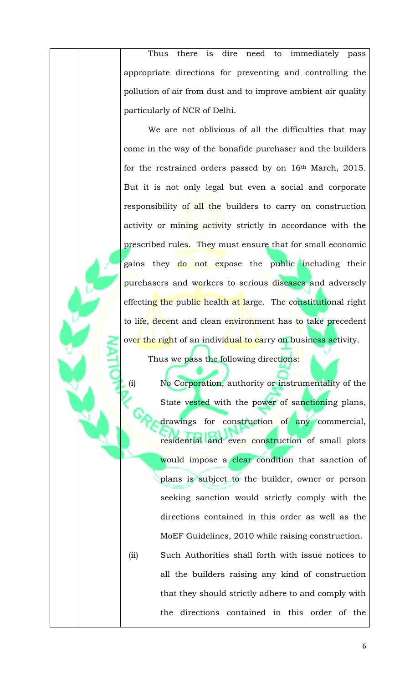Thus there is dire need to immediately pass appropriate directions for preventing and controlling the pollution of air from dust and to improve ambient air quality particularly of NCR of Delhi.

We are not oblivious of all the difficulties that may come in the way of the bonafide purchaser and the builders for the restrained orders passed by on 16th March, 2015. But it is not only legal but even a social and corporate responsibility of all the builders to carry on construction activity or mining activity strictly in accordance with the prescribed rules. They must ensure that for small economic gains they do not expose the public including their purchasers and workers to serious diseases and adversely effecting the public health at large. The constitutional right to life, decent and clean environment has to take precedent over the right of an individual to carry on business activity.

Thus we pass the following directions:

(i) No Corporation, authority or instrumentality of the State vested with the power of sanctioning plans, drawings for construction of any commercial, residential and even construction of small plots would impose a clear condition that sanction of plans is subject to the builder, owner or person seeking sanction would strictly comply with the directions contained in this order as well as the MoEF Guidelines, 2010 while raising construction. (ii) Such Authorities shall forth with issue notices to all the builders raising any kind of construction that they should strictly adhere to and comply with the directions contained in this order of the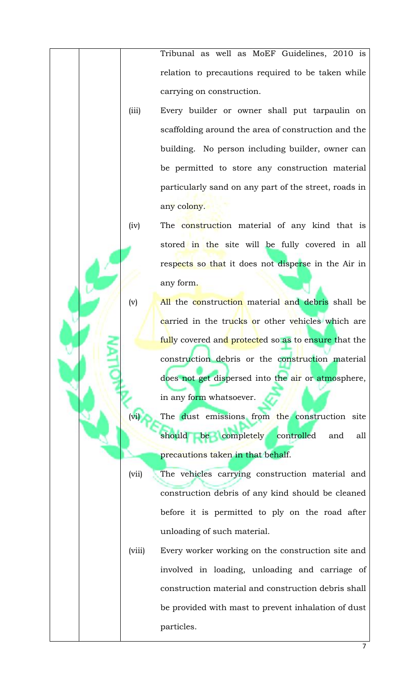Tribunal as well as MoEF Guidelines, 2010 is relation to precautions required to be taken while carrying on construction.

- (iii) Every builder or owner shall put tarpaulin on scaffolding around the area of construction and the building. No person including builder, owner can be permitted to store any construction material particularly sand on any part of the street, roads in any colony.
- (iv) The construction material of any kind that is stored in the site will be fully covered in all respects so that it does not disperse in the Air in any form.
- (v) All the construction material and debris shall be carried in the trucks or other vehicles which are fully covered and protected so as to ensure that the construction debris or the construction material does not get dispersed into the air or atmosphere, in any form whatsoever.
	- The dust emissions from the construction site should be completely controlled and all precautions taken in that behalf.
- (vii) The vehicles carrying construction material and construction debris of any kind should be cleaned before it is permitted to ply on the road after unloading of such material.
- (viii) Every worker working on the construction site and involved in loading, unloading and carriage of construction material and construction debris shall be provided with mast to prevent inhalation of dust particles.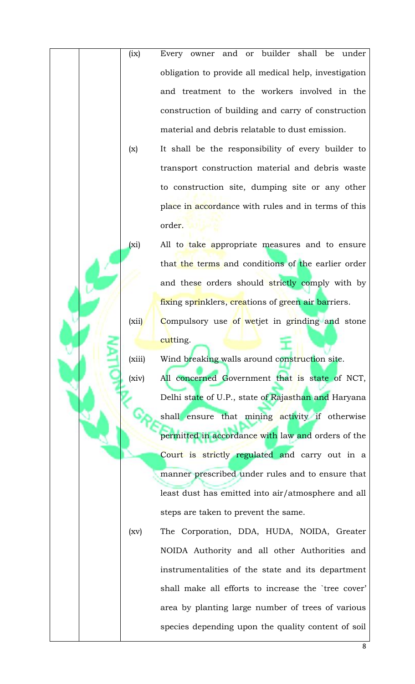- (ix) Every owner and or builder shall be under obligation to provide all medical help, investigation and treatment to the workers involved in the construction of building and carry of construction material and debris relatable to dust emission. (x) It shall be the responsibility of every builder to
	- transport construction material and debris waste to construction site, dumping site or any other place in accordance with rules and in terms of this order.
	- (xi) All to take appropriate measures and to ensure that the terms and conditions of the earlier order and these orders should strictly comply with by fixing sprinklers, creations of green air barriers. (xii) Compulsory use of wetjet in grinding and stone cutting.
		- (xiii) Wind breaking walls around construction site. (xiv) All concerned Government that is state of NCT, Delhi state of U.P., state of Rajasthan and Haryana shall ensure that mining activity if otherwise permitted in accordance with law and orders of the Court is strictly regulated and carry out in a manner prescribed under rules and to ensure that least dust has emitted into air/atmosphere and all steps are taken to prevent the same.
		- (xv) The Corporation, DDA, HUDA, NOIDA, Greater NOIDA Authority and all other Authorities and instrumentalities of the state and its department shall make all efforts to increase the `tree cover' area by planting large number of trees of various species depending upon the quality content of soil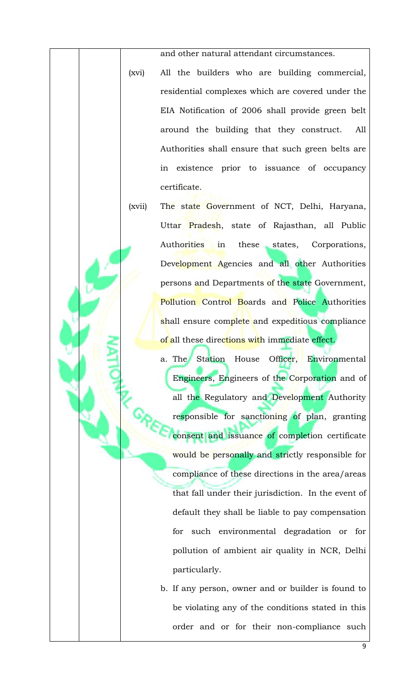and other natural attendant circumstances.

- (xvi) All the builders who are building commercial, residential complexes which are covered under the EIA Notification of 2006 shall provide green belt around the building that they construct. All Authorities shall ensure that such green belts are in existence prior to issuance of occupancy certificate.
- (xvii) The state Government of NCT, Delhi, Haryana, Uttar Pradesh, state of Rajasthan, all Public Authorities in these states, Corporations, Development Agencies and all other Authorities persons and Departments of the state Government, Pollution Control Boards and Police Authorities shall ensure complete and expeditious compliance of all these directions with immediate effect.
	- a. The Station House Officer, Environmental Engineers, Engineers of the Corporation and of all the Regulatory and Development Authority responsible for sanctioning of plan, granting consent and issuance of completion certificate would be personally and strictly responsible for compliance of these directions in the area/areas that fall under their jurisdiction. In the event of default they shall be liable to pay compensation for such environmental degradation or for pollution of ambient air quality in NCR, Delhi particularly.
	- b. If any person, owner and or builder is found to be violating any of the conditions stated in this order and or for their non-compliance such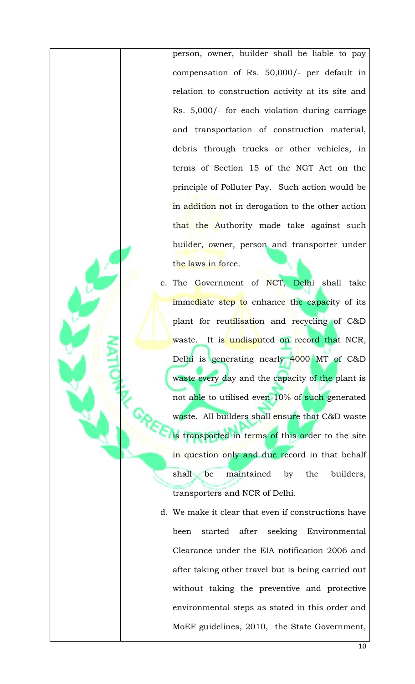person, owner, builder shall be liable to pay compensation of Rs. 50,000/- per default in relation to construction activity at its site and Rs. 5,000/- for each violation during carriage and transportation of construction material, debris through trucks or other vehicles, in terms of Section 15 of the NGT Act on the principle of Polluter Pay. Such action would be in addition not in derogation to the other action that the Authority made take against such builder, owner, person and transporter under the laws in force.

- c. The Government of NCT, Delhi shall take immediate step to enhance the capacity of its plant for reutilisation and recycling of C&D waste. It is undisputed on record that NCR, Delhi is generating nearly 4000 MT of C&D waste every day and the capacity of the plant is not able to utilised even 10% of such generated waste. All builders shall ensure that C&D waste is transported in terms of this order to the site in question only and due record in that behalf shall be maintained by the builders, transporters and NCR of Delhi.
- d. We make it clear that even if constructions have been started after seeking Environmental Clearance under the EIA notification 2006 and after taking other travel but is being carried out without taking the preventive and protective environmental steps as stated in this order and MoEF guidelines, 2010, the State Government,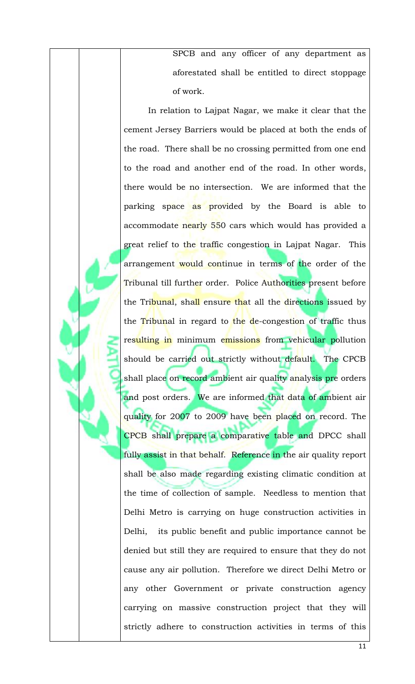SPCB and any officer of any department as aforestated shall be entitled to direct stoppage of work.

In relation to Lajpat Nagar, we make it clear that the cement Jersey Barriers would be placed at both the ends of the road. There shall be no crossing permitted from one end to the road and another end of the road. In other words, there would be no intersection. We are informed that the parking space as provided by the Board is able to accommodate nearly 550 cars which would has provided a great relief to the traffic congestion in Lajpat Nagar. This arrangement would continue in terms of the order of the Tribunal till further order. Police Authorities present before the Tribunal, shall ensure that all the directions issued by the Tribunal in regard to the de-congestion of traffic thus resulting in minimum emissions from vehicular pollution should be carried out strictly without default. The CPCB shall place on record ambient air quality analysis pre orders and post orders. We are informed that data of ambient air quality for 2007 to 2009 have been placed on record. The CPCB shall prepare a comparative table and DPCC shall fully assist in that behalf. Reference in the air quality report shall be also made regarding existing climatic condition at the time of collection of sample. Needless to mention that Delhi Metro is carrying on huge construction activities in Delhi, its public benefit and public importance cannot be denied but still they are required to ensure that they do not cause any air pollution. Therefore we direct Delhi Metro or any other Government or private construction agency carrying on massive construction project that they will strictly adhere to construction activities in terms of this